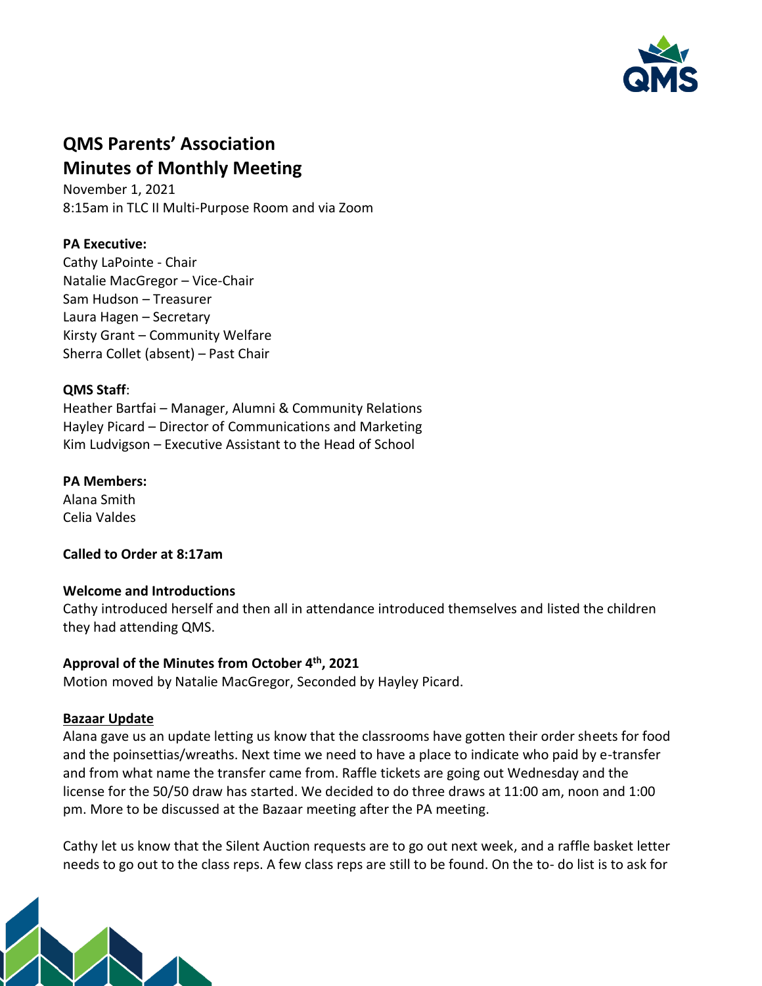

# **QMS Parents' Association Minutes of Monthly Meeting**

November 1, 2021 8:15am in TLC II Multi-Purpose Room and via Zoom

# **PA Executive:**

Cathy LaPointe - Chair Natalie MacGregor – Vice-Chair Sam Hudson – Treasurer Laura Hagen – Secretary Kirsty Grant – Community Welfare Sherra Collet (absent) – Past Chair

## **QMS Staff**:

Heather Bartfai – Manager, Alumni & Community Relations Hayley Picard – Director of Communications and Marketing Kim Ludvigson – Executive Assistant to the Head of School

## **PA Members:**

Alana Smith Celia Valdes

**Called to Order at 8:17am**

# **Welcome and Introductions**

Cathy introduced herself and then all in attendance introduced themselves and listed the children they had attending QMS.

# **Approval of the Minutes from October 4th, 2021**

Motion moved by Natalie MacGregor, Seconded by Hayley Picard.

# **Bazaar Update**

Alana gave us an update letting us know that the classrooms have gotten their order sheets for food and the poinsettias/wreaths. Next time we need to have a place to indicate who paid by e-transfer and from what name the transfer came from. Raffle tickets are going out Wednesday and the license for the 50/50 draw has started. We decided to do three draws at 11:00 am, noon and 1:00 pm. More to be discussed at the Bazaar meeting after the PA meeting.

Cathy let us know that the Silent Auction requests are to go out next week, and a raffle basket letter needs to go out to the class reps. A few class reps are still to be found. On the to- do list is to ask for